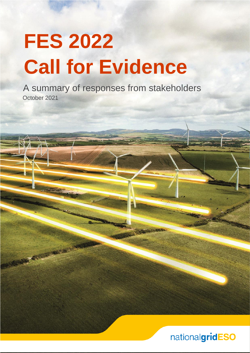# **FES 2022 Call for Evidence**

October 2021 A summary of responses from stakeholders

TREATURE IN THE PART

# nationalgridESO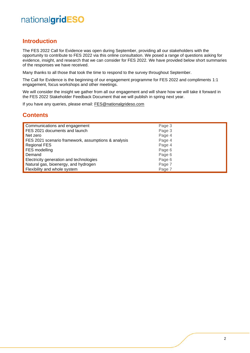### **Introduction**

The FES 2022 Call for Evidence was open during September, providing all our stakeholders with the opportunity to contribute to FES 2022 via this online consultation. We posed a range of questions asking for evidence, insight, and research that we can consider for FES 2022. We have provided below short summaries of the responses we have received.

Many thanks to all those that took the time to respond to the survey throughout September.

The Call for Evidence is the beginning of our engagement programme for FES 2022 and compliments 1:1 engagement, focus workshops and other meetings.

We will consider the insight we gather from all our engagement and will share how we will take it forward in the FES 2022 Stakeholder Feedback Document that we will publish in spring next year.

If you have any queries, please email: [FES@nationalgrideso.com](mailto:FES@nationalgrideso.com)

### **Contents**

| Communications and engagement                       | Page 3 |
|-----------------------------------------------------|--------|
| FES 2021 documents and launch                       | Page 3 |
| Net zero                                            | Page 4 |
| FES 2021 scenario framework, assumptions & analysis | Page 4 |
| <b>Regional FES</b>                                 | Page 4 |
| FES modelling                                       | Page 6 |
| Demand                                              | Page 6 |
| Electricity generation and technologies             | Page 6 |
| Natural gas, bioenergy, and hydrogen                | Page 7 |
| Flexibility and whole system                        | Page 7 |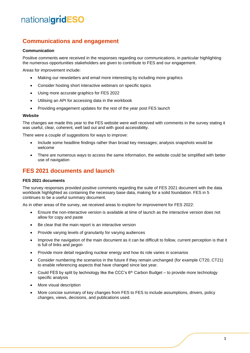### **Communications and engagement**

#### **Communication**

Positive comments were received in the responses regarding our communications, in particular highlighting the numerous opportunities stakeholders are given to contribute to FES and our engagement.

Areas for improvement include:

- Making our newsletters and email more interesting by including more graphics
- Consider hosting short interactive webinars on specific topics
- Using more accurate graphics for FES 2022
- Utilising an API for accessing data in the workbook
- Providing engagement updates for the rest of the year post FES launch

#### **Website**

The changes we made this year to the FES website were well received with comments in the survey stating it was useful, clear, coherent, well laid out and with good accessibility.

There were a couple of suggestions for ways to improve:

- Include some headline findings rather than broad key messages; analysis snapshots would be welcome
- There are numerous ways to access the same information, the website could be simplified with better use of navigation

### **FES 2021 documents and launch**

#### **FES 2021 documents**

The survey responses provided positive comments regarding the suite of FES 2021 document with the data workbook highlighted as containing the necessary base data, making for a solid foundation. FES in 5 continues to be a useful summary document.

As in other areas of the survey, we received areas to explore for improvement for FES 2022:

- Ensure the non-interactive version is available at time of launch as the interactive version does not allow for copy and paste
- Be clear that the main report is an interactive version
- Provide varying levels of granularity for varying audiences
- Improve the navigation of the main document as it can be difficult to follow, current perception is that it is full of links and jargon
- Provide more detail regarding nuclear energy and how its role varies in scenarios
- Consider numbering the scenarios in the future if they remain unchanged (for example CT20, CT21) to enable referencing aspects that have changed since last year.
- Could FES by split by technology like the CCC's  $6<sup>th</sup>$  Carbon Budget to provide more technology specific analysis
- More visual description
- More concise summary of key changes from FES to FES to include assumptions, drivers, policy changes, views, decisions, and publications used.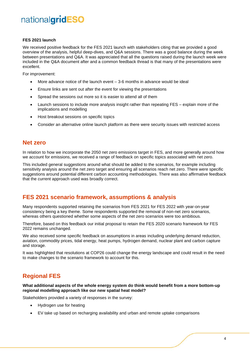#### **FES 2021 launch**

We received positive feedback for the FES 2021 launch with stakeholders citing that we provided a good overview of the analysis, helpful deep-dives, and Q&A sessions. There was a good balance during the week between presentations and Q&A. It was appreciated that all the questions raised during the launch week were included in the Q&A document after and a common feedback thread is that many of the presentations were excellent.

For improvement:

- More advance notice of the launch event  $-3$ -6 months in advance would be ideal
- Ensure links are sent out after the event for viewing the presentations
- Spread the sessions out more so it is easier to attend all of them
- Launch sessions to include more analysis insight rather than repeating FES explain more of the implications and modelling
- Host breakout sessions on specific topics
- Consider an alternative online launch platform as there were security issues with restricted access

### **Net zero**

In relation to how we incorporate the 2050 net zero emissions target in FES, and more generally around how we account for emissions, we received a range of feedback on specific topics associated with net zero.

This included general suggestions around what should be added to the scenarios, for example including sensitivity analysis around the net zero target and ensuring all scenarios reach net zero. There were specific suggestions around potential different carbon accounting methodologies. There was also affirmative feedback that the current approach used was broadly correct.

### **FES 2021 scenario framework, assumptions & analysis**

Many respondents supported retaining the scenarios from FES 2021 for FES 2022 with year-on-year consistency being a key theme. Some respondents supported the removal of non-net zero scenarios, whereas others questioned whether some aspects of the net zero scenarios were too ambitious.

Therefore, based on this feedback our initial proposal to retain the FES 2020 scenario framework for FES 2022 remains unchanged.

We also received some specific feedback on assumptions in areas including underlying demand reduction, aviation, commodity prices, tidal energy, heat pumps, hydrogen demand, nuclear plant and carbon capture and storage.

It was highlighted that resolutions at COP26 could change the energy landscape and could result in the need to make changes to the scenario framework to account for this.

# **Regional FES**

**What additional aspects of the whole energy system do think would benefit from a more bottom-up regional modelling approach like our new spatial heat model?**

Stakeholders provided a variety of responses in the survey:

- Hydrogen use for heating
- EV take up based on recharging availability and urban and remote uptake comparisons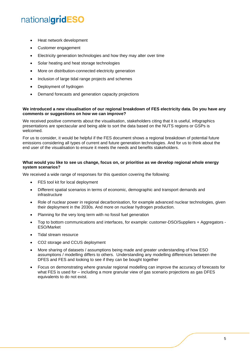- Heat network development
- Customer engagement
- Electricity generation technologies and how they may alter over time
- Solar heating and heat storage technologies
- More on distribution-connected electricity generation
- Inclusion of large tidal range projects and schemes
- Deployment of hydrogen
- Demand forecasts and generation capacity projections

#### **We introduced a new visualisation of our regional breakdown of FES electricity data. Do you have any comments or suggestions on how we can improve?**

We received positive comments about the visualisation, stakeholders citing that it is useful, infographics presentations are spectacular and being able to sort the data based on the NUTS regions or GSPs is welcomed.

For us to consider, it would be helpful if the FES document shows a regional breakdown of potential future emissions considering all types of current and future generation technologies. And for us to think about the end user of the visualisation to ensure it meets the needs and benefits stakeholders.

#### **What would you like to see us change, focus on, or prioritise as we develop regional whole energy system scenarios?**

We received a wide range of responses for this question covering the following:

- FES tool kit for local deployment
- Different spatial scenarios in terms of economic, demographic and transport demands and infrastructure
- Role of nuclear power in regional decarbonisation, for example advanced nuclear technologies, given their deployment in the 2030s. And more on nuclear hydrogen production.
- Planning for the very long term with no fossil fuel generation
- Top to bottom communications and interfaces, for example: customer-DSO/Suppliers + Aggregators ESO/Market
- Tidal stream resource
- CO2 storage and CCUS deployment
- More sharing of datasets / assumptions being made and greater understanding of how ESO assumptions / modelling differs to others. Understanding any modelling differences between the DFES and FES and looking to see if they can be bought together
- Focus on demonstrating where granular regional modelling can improve the accuracy of forecasts for what FES is used for – including a more granular view of gas scenario projections as gas DFES equivalents to do not exist.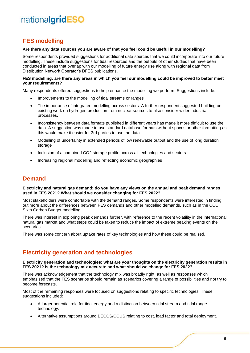# **FES modelling**

#### **Are there any data sources you are aware of that you feel could be useful in our modelling?**

Some respondents provided suggestions for additional data sources that we could incorporate into our future modelling. These include suggestions for tidal resources and the outputs of other studies that have been conducted in areas that overlap with our modelling of future energy use along with regional data from Distribution Network Operator's DFES publications.

#### **FES modelling: are there any areas in which you feel our modelling could be improved to better meet your requirements?**

Many respondents offered suggestions to help enhance the modelling we perform. Suggestions include:

- Improvements to the modelling of tidal streams or ranges
- The importance of integrated modelling across sectors. A further respondent suggested building on existing work on hydrogen production from nuclear sources to also consider wider industrial processes.
- Inconsistency between data formats published in different years has made it more difficult to use the data. A suggestion was made to use standard database formats without spaces or other formatting as this would make it easier for 3rd parties to use the data.
- Modelling of uncertainty in extended periods of low renewable output and the use of long duration storage
- Inclusion of a combined CO2 storage profile across all technologies and sectors
- Increasing regional modelling and reflecting economic geographies

### **Demand**

#### **Electricity and natural gas demand: do you have any views on the annual and peak demand ranges used in FES 2021? What should we consider changing for FES 2022?**

Most stakeholders were comfortable with the demand ranges. Some respondents were interested in finding out more about the differences between FES demands and other modelled demands, such as in the CCC Sixth Carbon Budget modelling.

There was interest in exploring peak demands further, with reference to the recent volatility in the international natural gas market and what steps could be taken to reduce the impact of extreme peaking events on the scenarios.

There was some concern about uptake rates of key technologies and how these could be realised.

### **Electricity generation and technologies**

#### **Electricity generation and technologies: what are your thoughts on the electricity generation results in FES 2021? Is the technology mix accurate and what should we change for FES 2022?**

There was acknowledgement that the technology mix was broadly right, as well as responses which emphasised that the FES scenarios should remain as scenarios covering a range of possibilities and not try to become forecasts.

Most of the remaining responses were focused on suggestions relating to specific technologies. These suggestions included:

- A larger potential role for tidal energy and a distinction between tidal stream and tidal range technology.
- Alternative assumptions around BECCS/CCUS relating to cost, load factor and total deployment.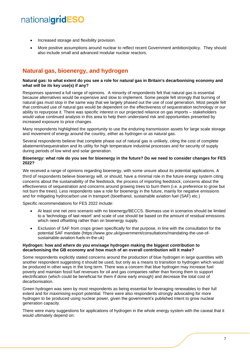- Increased storage and flexibility provision.
- More positive assumptions around nuclear to reflect recent Government ambition/policy. They should also include small and advanced modular nuclear reactors.

# **Natural gas, bioenergy, and hydrogen**

#### **Natural gas: to what extent do you see a role for natural gas in Britain's decarbonising economy and what will be its key use(s) if any?**

Responses spanned a full range of opinions. A minority of respondents felt that natural gas is essential because alternatives would be expensive and slow to implement. Some people felt strongly that burning of natural gas must stop in the same way that we largely phased out the use of coal generation. Most people felt that continued use of natural gas would be dependent on the effectiveness of sequestration technology or our ability to repurpose it. There was specific interest in our projected reliance on gas imports – stakeholders would value continued analysis in this area to help them understand risk and opportunities presented by increased exposure to price changes.

Many respondents highlighted the opportunity to use the enduring transmission assets for large scale storage and movement of energy around the country, either as hydrogen or as natural gas.

Several respondents believe that complete phase out of natural gas is unlikely, citing the cost of complete abatement/sequestration and its utility for high temperature industrial processes and for security of supply during periods of low wind and solar generation.

#### **Bioenergy: what role do you see for bioenergy in the future? Do we need to consider changes for FES 2022?**

We received a range of opinions regarding bioenergy, with some unsure about its potential applications. A third of respondents believe bioenergy will, or should, have a minimal role in the future energy system citing concerns about the sustainability of the feedstock, the process of importing feedstock, concerns about the effectiveness of sequestration and concerns around growing trees to burn them (i.e. a preference to grow but not burn the trees). Less respondents saw a role for bioenergy in the future, mainly for negative emissions and for mitigating hydrocarbon use in transport (bioethanol, sustainable aviation fuel (SAF) etc.)

Specific recommendations for FES 2022 include:

- At least one net zero scenario with no bioenergy/BECCS. Biomass use in scenarios should be limited to a 'technology of last resort' and scale of use should be based on the amount of residual emissions which need offsetting rather than on bioenergy supply.
- Exclusion of SAF from crops grown specifically for that purpose, in line with the consultation for the potential SAF mandate (https://www.gov.uk/government/consultations/mandating-the-use-ofsustainable-aviation-fuels-in-the-uk)

#### **Hydrogen: how and where do you envisage hydrogen making the biggest contribution to decarbonising the GB economy and how much of an overall contribution will it make?**

Some respondents explicitly stated concerns around the production of blue hydrogen in large quantities with another respondent suggesting it should be used, but only as a means to transition to hydrogen which would be produced in other ways in the long term. There was a concern that blue hydrogen may increase fuel poverty and maintain fossil fuel revenues for oil and gas companies rather than forcing them to support electrification (which could be beneficial for them if done early enough) and decrease the total cost of decarbonisation.

Green hydrogen was seen by most respondents as being essential for leveraging renewables to their full extent and for maximising export potential. There were also respondents strongly advocating for more hydrogen to be produced using nuclear power, given the government's published intent to grow nuclear generation capacity.

There were many suggestions for applications of hydrogen in the whole energy system with the caveat that it would ultimately depend on: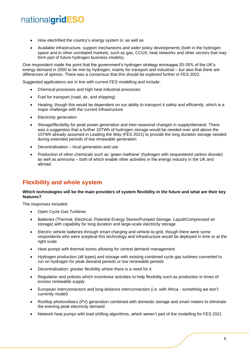- How electrified the country's energy system is: as well as
- Available infrastructure, support mechanisms and wider policy developments (both in the hydrogen space and in other correlated markets, such as gas, CCUS, heat networks and other sectors that may form part of future hydrogen business models).

One respondent made the point that the government's hydrogen strategy envisages 20-35% of the UK's energy demand in 2050 to be met by hydrogen, mainly for transport and industrial – but also that there are differences of opinion. There was a consensus that this should be explored further in FES 2022.

Suggested applications are in line with current FES modelling and include:

- Chemical processes and high heat industrial processes
- Fuel for transport (road, air, and shipping)
- Heating, though this would be dependent on our ability to transport it safely and efficiently, which is a major challenge with the current infrastructure
- **Electricity generation**
- Storage/flexibility for peak power generation and inter-seasonal changes in supply/demand. There was a suggestion that a further 10TWh of hydrogen storage would be needed over and above the 15TWh already assumed in Leading the Way (FES 2021) to provide the long duration storage needed during extended periods of low renewable generation
- Decentralisation local generation and use
- Production of other chemicals such as 'green methane' (hydrogen with sequestered carbon dioxide) as well as ammonia – both of which enable other activities in the energy industry in the UK and abroad.

### **Flexibility and whole system**

#### **Which technologies will be the main providers of system flexibility in the future and what are their key features?**

The responses included:

- Open Cycle Gas Turbines
- Batteries (Thermal, Electrical, Potential Energy Stores/Pumped Storage, Liquid/Compressed air storage) with capability for long duration and large-scale electricity storage
- Electric vehicle batteries through smart charging and vehicle-to-grid, though there were some respondents who were sceptical this technology and infrastructure would be deployed in time or at the right scale
- Heat pumps with thermal stores allowing for central demand management
- Hydrogen production (all types) and storage with existing combined cycle gas turbines converted to run on hydrogen for peak demand periods or low renewable periods
- Decentralisation: greater flexibility where there is a need for it
- Regulation and policies which incentivise activities to help flexibility such as production in times of excess renewable supply
- European interconnectors and long-distance interconnection (i.e. with Africa something we don't currently model)
- Rooftop photovoltaics (PV) generation combined with domestic storage and smart meters to eliminate the evening peak electricity demand
- Network heat pumps with load shifting algorithms, which weren't part of the modelling for FES 2021